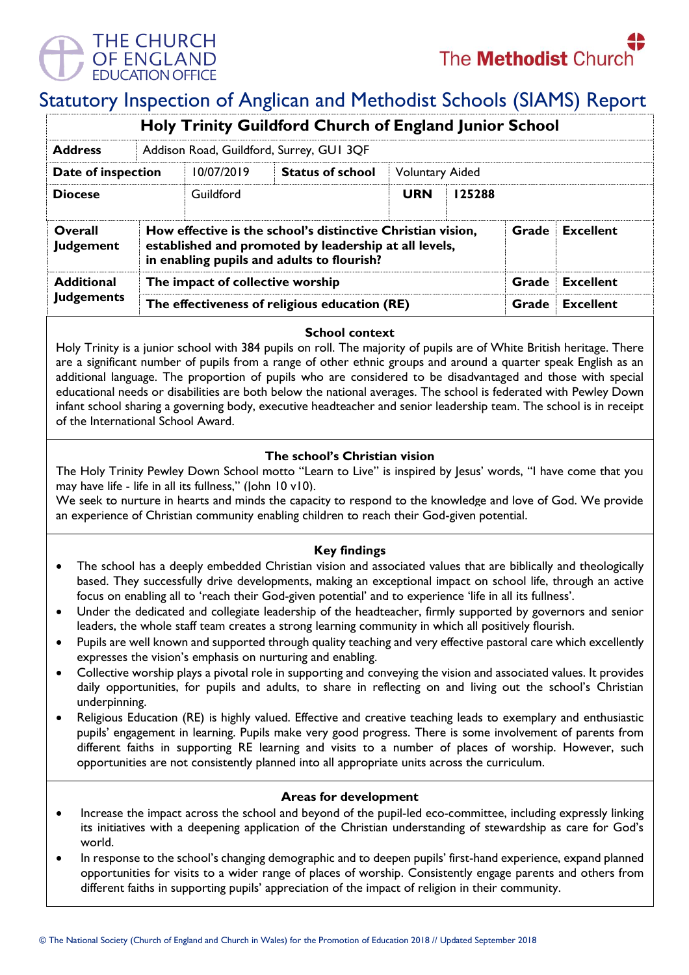

# Statutory Inspection of Anglican and Methodist Schools (SIAMS) Report

| <b>Holy Trinity Guildford Church of England Junior School</b> |                                               |                                                                                                                                                                                                 |                         |                        |        |                  |  |  |
|---------------------------------------------------------------|-----------------------------------------------|-------------------------------------------------------------------------------------------------------------------------------------------------------------------------------------------------|-------------------------|------------------------|--------|------------------|--|--|
| <b>Address</b>                                                | Addison Road, Guildford, Surrey, GUI 3QF      |                                                                                                                                                                                                 |                         |                        |        |                  |  |  |
| Date of inspection                                            |                                               | 10/07/2019                                                                                                                                                                                      | <b>Status of school</b> | <b>Voluntary Aided</b> |        |                  |  |  |
| <b>Diocese</b>                                                |                                               | Guildford                                                                                                                                                                                       |                         | <b>URN</b>             | 125288 |                  |  |  |
| Overall<br>Judgement                                          |                                               | How effective is the school's distinctive Christian vision,<br><b>Excellent</b><br>Grade<br>established and promoted by leadership at all levels,<br>in enabling pupils and adults to flourish? |                         |                        |        |                  |  |  |
| <b>Additional</b>                                             | The impact of collective worship              |                                                                                                                                                                                                 |                         |                        | Grade  | <b>Excellent</b> |  |  |
| <b>Judgements</b>                                             | The effectiveness of religious education (RE) |                                                                                                                                                                                                 |                         |                        | Grade  | <b>Excellent</b> |  |  |

# **School context**

Holy Trinity is a junior school with 384 pupils on roll. The majority of pupils are of White British heritage. There are a significant number of pupils from a range of other ethnic groups and around a quarter speak English as an additional language. The proportion of pupils who are considered to be disadvantaged and those with special educational needs or disabilities are both below the national averages. The school is federated with Pewley Down infant school sharing a governing body, executive headteacher and senior leadership team. The school is in receipt of the International School Award.

# **The school's Christian vision**

The Holy Trinity Pewley Down School motto "Learn to Live" is inspired by Jesus' words, "I have come that you may have life - life in all its fullness," (John 10 v10).

We seek to nurture in hearts and minds the capacity to respond to the knowledge and love of God. We provide an experience of Christian community enabling children to reach their God-given potential.

# **Key findings**

- The school has a deeply embedded Christian vision and associated values that are biblically and theologically based. They successfully drive developments, making an exceptional impact on school life, through an active focus on enabling all to 'reach their God-given potential' and to experience 'life in all its fullness'.
- Under the dedicated and collegiate leadership of the headteacher, firmly supported by governors and senior leaders, the whole staff team creates a strong learning community in which all positively flourish.
- Pupils are well known and supported through quality teaching and very effective pastoral care which excellently expresses the vision's emphasis on nurturing and enabling.
- Collective worship plays a pivotal role in supporting and conveying the vision and associated values. It provides daily opportunities, for pupils and adults, to share in reflecting on and living out the school's Christian underpinning.
- Religious Education (RE) is highly valued. Effective and creative teaching leads to exemplary and enthusiastic pupils' engagement in learning. Pupils make very good progress. There is some involvement of parents from different faiths in supporting RE learning and visits to a number of places of worship. However, such opportunities are not consistently planned into all appropriate units across the curriculum.

#### **Areas for development**

- Increase the impact across the school and beyond of the pupil-led eco-committee, including expressly linking its initiatives with a deepening application of the Christian understanding of stewardship as care for God's world.
- In response to the school's changing demographic and to deepen pupils' first-hand experience, expand planned opportunities for visits to a wider range of places of worship. Consistently engage parents and others from different faiths in supporting pupils' appreciation of the impact of religion in their community.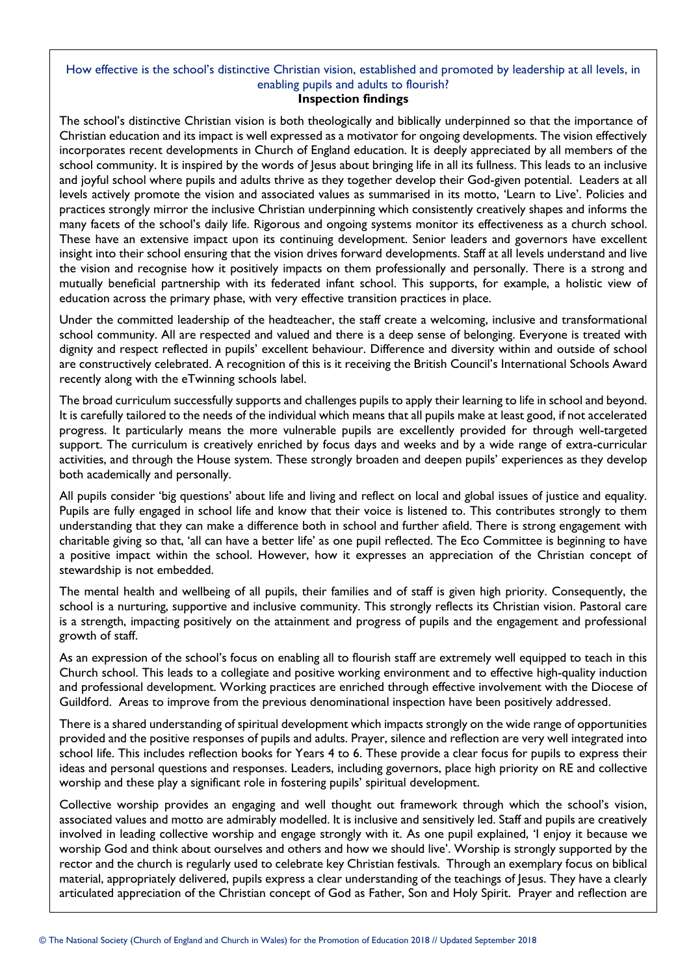# How effective is the school's distinctive Christian vision, established and promoted by leadership at all levels, in enabling pupils and adults to flourish?

### **Inspection findings**

The school's distinctive Christian vision is both theologically and biblically underpinned so that the importance of Christian education and its impact is well expressed as a motivator for ongoing developments. The vision effectively incorporates recent developments in Church of England education. It is deeply appreciated by all members of the school community. It is inspired by the words of Jesus about bringing life in all its fullness. This leads to an inclusive and joyful school where pupils and adults thrive as they together develop their God-given potential. Leaders at all levels actively promote the vision and associated values as summarised in its motto, 'Learn to Live'. Policies and practices strongly mirror the inclusive Christian underpinning which consistently creatively shapes and informs the many facets of the school's daily life. Rigorous and ongoing systems monitor its effectiveness as a church school. These have an extensive impact upon its continuing development. Senior leaders and governors have excellent insight into their school ensuring that the vision drives forward developments. Staff at all levels understand and live the vision and recognise how it positively impacts on them professionally and personally. There is a strong and mutually beneficial partnership with its federated infant school. This supports, for example, a holistic view of education across the primary phase, with very effective transition practices in place.

Under the committed leadership of the headteacher, the staff create a welcoming, inclusive and transformational school community. All are respected and valued and there is a deep sense of belonging. Everyone is treated with dignity and respect reflected in pupils' excellent behaviour. Difference and diversity within and outside of school are constructively celebrated. A recognition of this is it receiving the British Council's International Schools Award recently along with the eTwinning schools label.

The broad curriculum successfully supports and challenges pupils to apply their learning to life in school and beyond. It is carefully tailored to the needs of the individual which means that all pupils make at least good, if not accelerated progress. It particularly means the more vulnerable pupils are excellently provided for through well-targeted support. The curriculum is creatively enriched by focus days and weeks and by a wide range of extra-curricular activities, and through the House system. These strongly broaden and deepen pupils' experiences as they develop both academically and personally.

All pupils consider 'big questions' about life and living and reflect on local and global issues of justice and equality. Pupils are fully engaged in school life and know that their voice is listened to. This contributes strongly to them understanding that they can make a difference both in school and further afield. There is strong engagement with charitable giving so that, 'all can have a better life' as one pupil reflected. The Eco Committee is beginning to have a positive impact within the school. However, how it expresses an appreciation of the Christian concept of stewardship is not embedded.

The mental health and wellbeing of all pupils, their families and of staff is given high priority. Consequently, the school is a nurturing, supportive and inclusive community. This strongly reflects its Christian vision. Pastoral care is a strength, impacting positively on the attainment and progress of pupils and the engagement and professional growth of staff.

As an expression of the school's focus on enabling all to flourish staff are extremely well equipped to teach in this Church school. This leads to a collegiate and positive working environment and to effective high-quality induction and professional development. Working practices are enriched through effective involvement with the Diocese of Guildford. Areas to improve from the previous denominational inspection have been positively addressed.

There is a shared understanding of spiritual development which impacts strongly on the wide range of opportunities provided and the positive responses of pupils and adults. Prayer, silence and reflection are very well integrated into school life. This includes reflection books for Years 4 to 6. These provide a clear focus for pupils to express their ideas and personal questions and responses. Leaders, including governors, place high priority on RE and collective worship and these play a significant role in fostering pupils' spiritual development.

Collective worship provides an engaging and well thought out framework through which the school's vision, associated values and motto are admirably modelled. It is inclusive and sensitively led. Staff and pupils are creatively involved in leading collective worship and engage strongly with it. As one pupil explained, 'I enjoy it because we worship God and think about ourselves and others and how we should live'. Worship is strongly supported by the rector and the church is regularly used to celebrate key Christian festivals. Through an exemplary focus on biblical material, appropriately delivered, pupils express a clear understanding of the teachings of Jesus. They have a clearly articulated appreciation of the Christian concept of God as Father, Son and Holy Spirit. Prayer and reflection are